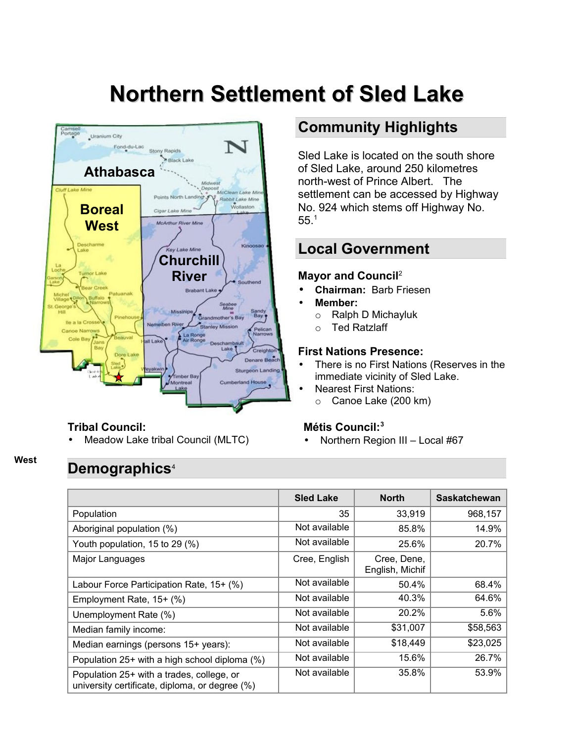# **Northern Settlement of Sled Lake**



#### **Tribal Council:**

Meadow Lake tribal Council (MLTC)

### **Community Highlights**

Sled Lake is located on the south shore of Sled Lake, around 250 kilometres north-west of Prince Albert. The settlement can be accessed by Highway No. 924 which stems off Highway No. 55.[1](#page-4-0)

### **Local Government**

#### **Mayor and Council**[2](#page-4-1)

- **Chairman:** Barb Friesen
- **Member:**
	- o Ralph D Michayluk
	- o Ted Ratzlaff

#### **First Nations Presence:**

- There is no First Nations (Reserves in the immediate vicinity of Sled Lake.
- Nearest First Nations:
	- o Canoe Lake (200 km)

#### **Métis Council:[3](#page-4-2)**

• Northern Region III – Local #67

### **Demographics**[4](#page-4-3)

**West**

|                                                                                             | <b>Sled Lake</b> | <b>North</b>                   | <b>Saskatchewan</b> |
|---------------------------------------------------------------------------------------------|------------------|--------------------------------|---------------------|
| Population                                                                                  | 35               | 33,919                         | 968,157             |
| Aboriginal population (%)                                                                   | Not available    | 85.8%                          | 14.9%               |
| Youth population, 15 to 29 (%)                                                              | Not available    | 25.6%                          | 20.7%               |
| Major Languages                                                                             | Cree, English    | Cree, Dene,<br>English, Michif |                     |
| Labour Force Participation Rate, 15+ (%)                                                    | Not available    | 50.4%                          | 68.4%               |
| Employment Rate, 15+ (%)                                                                    | Not available    | 40.3%                          | 64.6%               |
| Unemployment Rate (%)                                                                       | Not available    | 20.2%                          | 5.6%                |
| Median family income:                                                                       | Not available    | \$31,007                       | \$58,563            |
| Median earnings (persons 15+ years):                                                        | Not available    | \$18,449                       | \$23,025            |
| Population 25+ with a high school diploma (%)                                               | Not available    | 15.6%                          | 26.7%               |
| Population 25+ with a trades, college, or<br>university certificate, diploma, or degree (%) | Not available    | 35.8%                          | 53.9%               |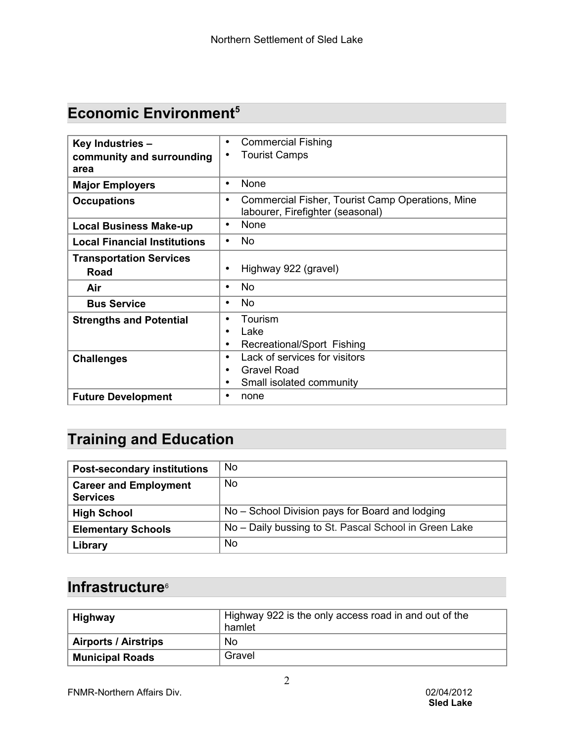## **Economic Environment[5](#page-4-4)**

| Key Industries -                    | <b>Commercial Fishing</b><br>٠                                                                    |  |
|-------------------------------------|---------------------------------------------------------------------------------------------------|--|
| community and surrounding           | <b>Tourist Camps</b>                                                                              |  |
|                                     |                                                                                                   |  |
| area                                |                                                                                                   |  |
| <b>Major Employers</b>              | None<br>$\bullet$                                                                                 |  |
| <b>Occupations</b>                  | Commercial Fisher, Tourist Camp Operations, Mine<br>$\bullet$<br>labourer, Firefighter (seasonal) |  |
|                                     |                                                                                                   |  |
| <b>Local Business Make-up</b>       | <b>None</b><br>$\bullet$                                                                          |  |
| <b>Local Financial Institutions</b> | No                                                                                                |  |
| <b>Transportation Services</b>      |                                                                                                   |  |
| Road                                | Highway 922 (gravel)<br>$\bullet$                                                                 |  |
|                                     |                                                                                                   |  |
| Air                                 | No.<br>$\bullet$                                                                                  |  |
| <b>Bus Service</b>                  | No<br>٠                                                                                           |  |
| <b>Strengths and Potential</b>      | Tourism                                                                                           |  |
|                                     | Lake                                                                                              |  |
|                                     | Recreational/Sport Fishing<br>$\bullet$                                                           |  |
|                                     |                                                                                                   |  |
| <b>Challenges</b>                   | Lack of services for visitors<br>٠                                                                |  |
|                                     | <b>Gravel Road</b><br>$\bullet$                                                                   |  |
|                                     | Small isolated community                                                                          |  |
| <b>Future Development</b>           | none                                                                                              |  |
|                                     |                                                                                                   |  |

# **Training and Education**

| <b>Post-secondary institutions</b>              | No.                                                   |
|-------------------------------------------------|-------------------------------------------------------|
| <b>Career and Employment</b><br><b>Services</b> | No.                                                   |
| <b>High School</b>                              | No - School Division pays for Board and lodging       |
| <b>Elementary Schools</b>                       | No - Daily bussing to St. Pascal School in Green Lake |
| Library                                         | No.                                                   |

### **Infrastructure**<sup>[6](#page-4-5)</sup>

| Highway                     | Highway 922 is the only access road in and out of the<br>hamlet |  |
|-----------------------------|-----------------------------------------------------------------|--|
| <b>Airports / Airstrips</b> | No                                                              |  |
| <b>Municipal Roads</b>      | Gravel                                                          |  |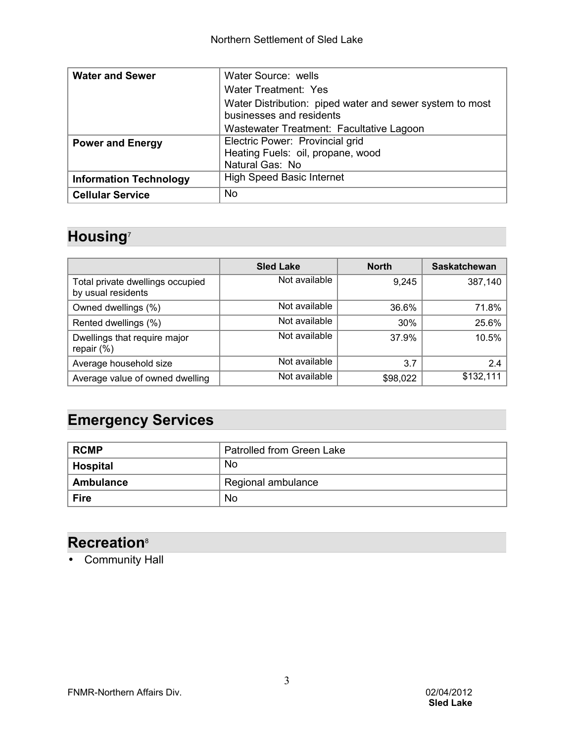| <b>Water and Sewer</b>        | Water Source: wells                                      |  |  |  |
|-------------------------------|----------------------------------------------------------|--|--|--|
|                               | Water Treatment: Yes                                     |  |  |  |
|                               | Water Distribution: piped water and sewer system to most |  |  |  |
|                               | businesses and residents                                 |  |  |  |
|                               | Wastewater Treatment: Facultative Lagoon                 |  |  |  |
| <b>Power and Energy</b>       | Electric Power: Provincial grid                          |  |  |  |
|                               | Heating Fuels: oil, propane, wood                        |  |  |  |
|                               | Natural Gas: No                                          |  |  |  |
| <b>Information Technology</b> | <b>High Speed Basic Internet</b>                         |  |  |  |
| <b>Cellular Service</b>       | No.                                                      |  |  |  |

# **Housing**[7](#page-4-6)

|                                                        | <b>Sled Lake</b> | <b>North</b> | <b>Saskatchewan</b> |
|--------------------------------------------------------|------------------|--------------|---------------------|
| Total private dwellings occupied<br>by usual residents | Not available    | 9,245        | 387,140             |
| Owned dwellings (%)                                    | Not available    | 36.6%        | 71.8%               |
| Rented dwellings (%)                                   | Not available    | 30%          | 25.6%               |
| Dwellings that require major<br>repair $(\%)$          | Not available    | 37.9%        | 10.5%               |
| Average household size                                 | Not available    | 3.7          | 2.4                 |
| Average value of owned dwelling                        | Not available    | \$98,022     | \$132,111           |

### **Emergency Services**

| ∣ RCMP      | Patrolled from Green Lake |  |  |
|-------------|---------------------------|--|--|
| Hospital    | <b>No</b>                 |  |  |
| Ambulance   | Regional ambulance        |  |  |
| <b>Fire</b> | <b>No</b>                 |  |  |

### **Recreation**[8](#page-4-7)

• Community Hall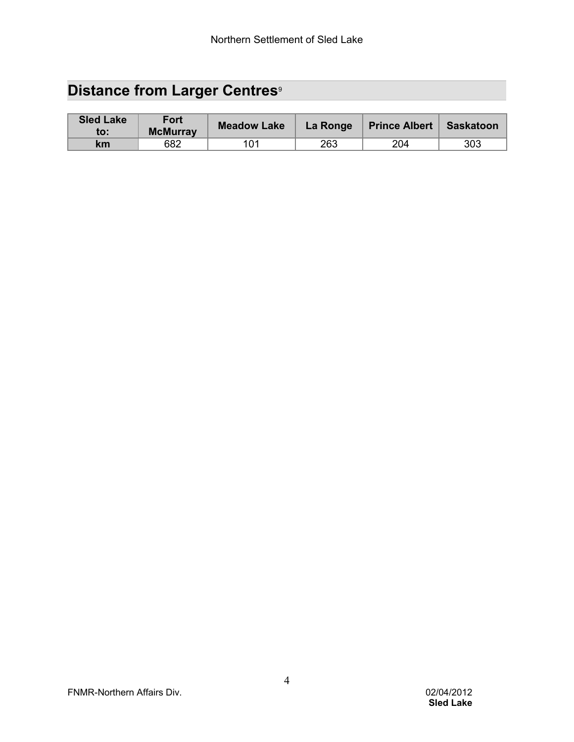# **Distance from Larger Centres<sup>[9](#page-4-8)</sup>**

| <b>Sled Lake</b><br>to: | Fort<br><b>McMurray</b> | <b>Meadow Lake</b> | La Ronge | Prince Albert | Saskatoon |
|-------------------------|-------------------------|--------------------|----------|---------------|-----------|
| km                      | 682                     |                    | 263      | 204           | 303       |